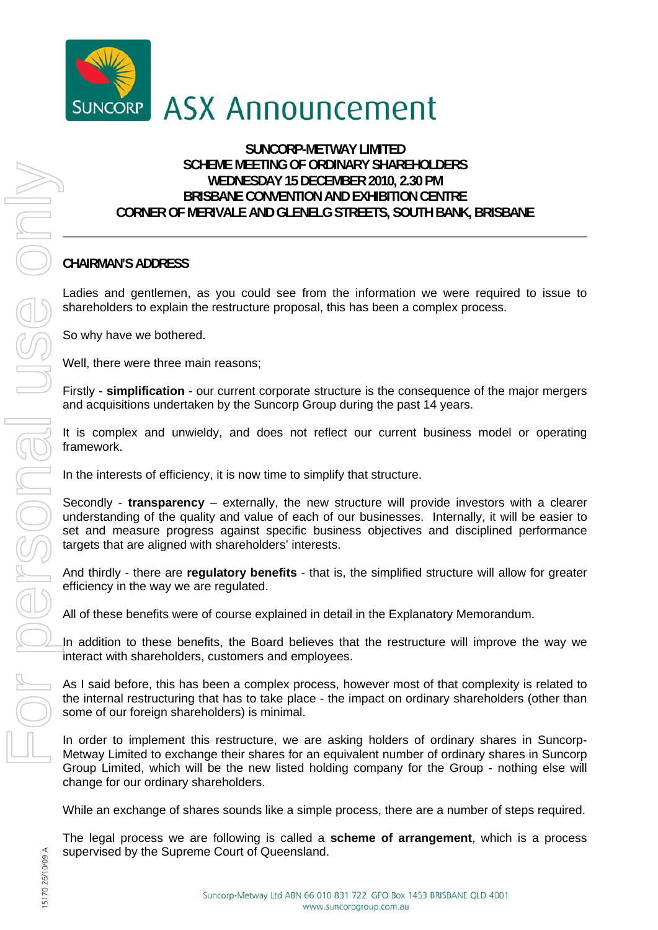

## **ASX Announcement**

## **SUNCORP-METWAY LIMITED SCHEME MEETING OF ORDINARY SHAREHOLDERS WEDNESDAY 15 DECEMBER 2010, 2.30 PM BRISBANE CONVENTION AND EXHIBITION CENTRE CORNER OF MERIVALE AND GLENELG STREETS, SOUTH BANK, BRISBANE**

## **CHAIRMAN'S ADDRESS**

Ladies and gentlemen, as you could see from the information we were required to issue to shareholders to explain the restructure proposal, this has been a complex process.

So why have we bothered.

Well, there were three main reasons;

Firstly - **simplification** - our current corporate structure is the consequence of the major mergers and acquisitions undertaken by the Suncorp Group during the past 14 years.

It is complex and unwieldy, and does not reflect our current business model or operating framework.

In the interests of efficiency, it is now time to simplify that structure.

Secondly - **transparency** – externally, the new structure will provide investors with a clearer understanding of the quality and value of each of our businesses. Internally, it will be easier to set and measure progress against specific business objectives and disciplined performance targets that are aligned with shareholders' interests.

And thirdly - there are **regulatory benefits** - that is, the simplified structure will allow for greater efficiency in the way we are regulated.

All of these benefits were of course explained in detail in the Explanatory Memorandum.

In addition to these benefits, the Board believes that the restructure will improve the way we interact with shareholders, customers and employees.

As I said before, this has been a complex process, however most of that complexity is related to the internal restructuring that has to take place - the impact on ordinary shareholders (other than some of our foreign shareholders) is minimal.

In order to implement this restructure, we are asking holders of ordinary shares in Suncorp-Metway Limited to exchange their shares for an equivalent number of ordinary shares in Suncorp Group Limited, which will be the new listed holding company for the Group - nothing else will change for our ordinary shareholders.

While an exchange of shares sounds like a simple process, there are a number of steps required.

The legal process we are following is called a **scheme of arrangement**, which is a process